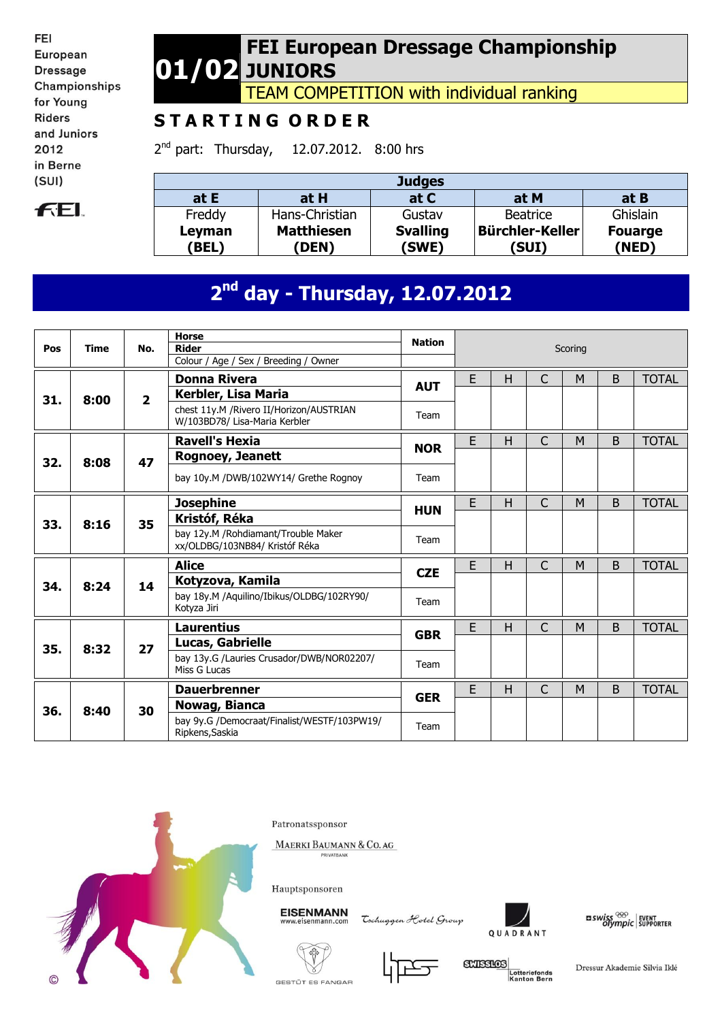FEI European **Dressage** Championships for Young **Riders** and Juniors 2012 in Berne  $(SUI)$ 



#### **01/02 FEI European Dressage Championship JUNIORS**

TEAM COMPETITION with individual ranking

## **S T A R T I N G O R D E R**

2<sup>nd</sup> part: Thursday, 12.07.2012. 8:00 hrs

|                       |                            | <b>Judges</b>            |                                 |                         |
|-----------------------|----------------------------|--------------------------|---------------------------------|-------------------------|
| at E                  | at H                       | at C                     | at M                            | at B                    |
| Freddy                | Hans-Christian             | Gustav                   | Beatrice                        | Ghislain                |
| Leyman<br><b>BEL)</b> | <b>Matthiesen</b><br>(DEN) | <b>Svalling</b><br>(SWE) | <b>Bürchler-Keller</b><br>(SUI) | <b>Fouarge</b><br>(NED) |

# **2 nd day - Thursday, 12.07.2012**

| Pos | <b>Time</b> | No.            | <b>Horse</b><br><b>Rider</b>                                             | <b>Nation</b> |   |   | Scoring      |   |   |              |  |  |  |
|-----|-------------|----------------|--------------------------------------------------------------------------|---------------|---|---|--------------|---|---|--------------|--|--|--|
|     |             |                | Colour / Age / Sex / Breeding / Owner                                    |               |   |   |              |   |   |              |  |  |  |
|     |             |                | <b>Donna Rivera</b>                                                      | <b>AUT</b>    | E | H | $\mathsf{C}$ | M | B | <b>TOTAL</b> |  |  |  |
| 31. | 8:00        | $\overline{2}$ | Kerbler, Lisa Maria                                                      |               |   |   |              |   |   |              |  |  |  |
|     |             |                | chest 11y.M /Rivero II/Horizon/AUSTRIAN<br>W/103BD78/ Lisa-Maria Kerbler | Team          |   |   |              |   |   |              |  |  |  |
|     |             |                | <b>Ravell's Hexia</b>                                                    | <b>NOR</b>    | E | H | $\mathsf{C}$ | M | B | <b>TOTAL</b> |  |  |  |
| 32. | 8:08        | 47             | Rognoey, Jeanett                                                         |               |   |   |              |   |   |              |  |  |  |
|     |             |                | bay 10y.M /DWB/102WY14/ Grethe Rognoy                                    | Team          |   |   |              |   |   |              |  |  |  |
|     |             |                | <b>Josephine</b>                                                         | <b>HUN</b>    | E | H | C            | M | B | <b>TOTAL</b> |  |  |  |
| 33. | 8:16        | 35             | Kristóf, Réka                                                            |               |   |   |              |   |   |              |  |  |  |
|     |             |                | bay 12y.M / Rohdiamant/Trouble Maker<br>xx/OLDBG/103NB84/ Kristóf Réka   | Team          |   |   |              |   |   |              |  |  |  |
|     |             |                | <b>Alice</b>                                                             | <b>CZE</b>    | E | H | C            | M | B | <b>TOTAL</b> |  |  |  |
| 34. | 8:24        | 14             | Kotyzova, Kamila                                                         |               |   |   |              |   |   |              |  |  |  |
|     |             |                | bay 18y.M /Aquilino/Ibikus/OLDBG/102RY90/<br>Kotyza Jiri                 | Team          |   |   |              |   |   |              |  |  |  |
|     |             |                | <b>Laurentius</b>                                                        | <b>GBR</b>    | E | H | $\mathsf{C}$ | M | B | <b>TOTAL</b> |  |  |  |
| 35. | 8:32        | 27             | Lucas, Gabrielle                                                         |               |   |   |              |   |   |              |  |  |  |
|     |             |                | bay 13y.G /Lauries Crusador/DWB/NOR02207/<br>Miss G Lucas                | Team          |   |   |              |   |   |              |  |  |  |
|     |             |                | <b>Dauerbrenner</b>                                                      | <b>GER</b>    | E | H | C            | M | B | <b>TOTAL</b> |  |  |  |
| 36. | 8:40        | 30             | Nowag, Bianca                                                            |               |   |   |              |   |   |              |  |  |  |
|     |             |                | bay 9y.G /Democraat/Finalist/WESTF/103PW19/<br>Ripkens, Saskia           | Team          |   |   |              |   |   |              |  |  |  |



Patronatssponsor

MAERKI BAUMANN & CO. AG



**EISENMANN** 

Tschuggen Hotel Group





 $\frac{1}{2}$  swiss  $\frac{1}{2}$  event of supporter





**GXISSIOS** Lotteriefonds<br>Kanton Bern

Dressur Akademie Silvia Iklé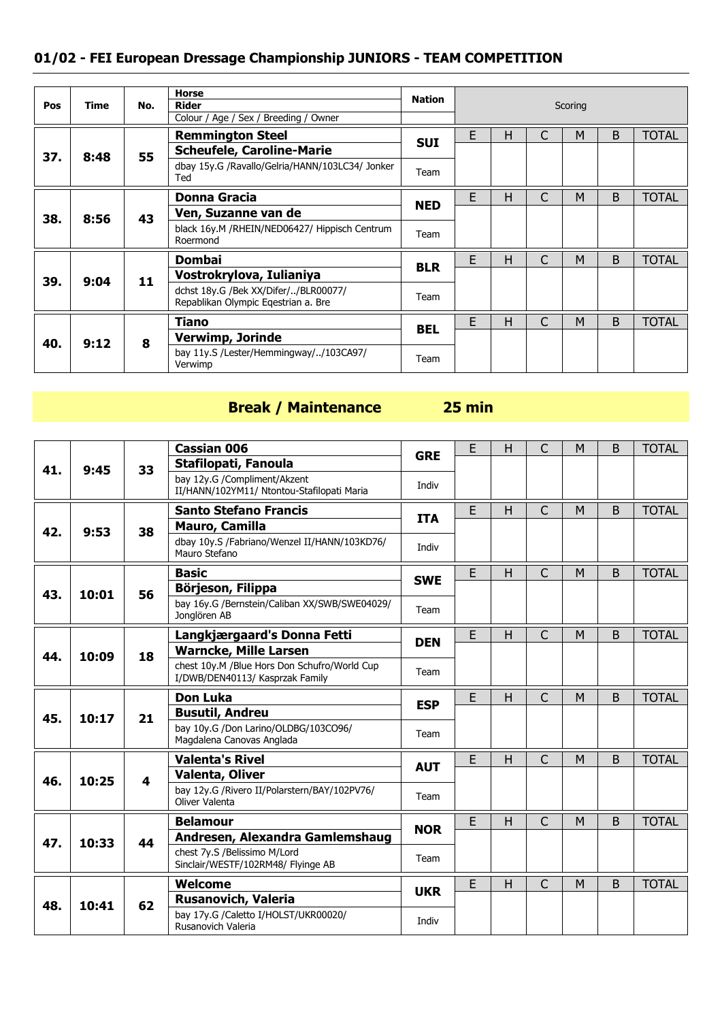#### **01/02 - FEI European Dressage Championship JUNIORS - TEAM COMPETITION**

| Pos | Time | No. | <b>Horse</b><br><b>Rider</b>                                                | <b>Nation</b> |   | Scoring |              |   |   |              |  |
|-----|------|-----|-----------------------------------------------------------------------------|---------------|---|---------|--------------|---|---|--------------|--|
|     |      |     | Colour / Age / Sex / Breeding / Owner                                       |               |   |         |              |   |   |              |  |
|     |      |     | <b>Remmington Steel</b>                                                     | <b>SUI</b>    | E | Н       |              | M | B | <b>TOTAL</b> |  |
| 37. | 8:48 | 55  | <b>Scheufele, Caroline-Marie</b>                                            |               |   |         |              |   |   |              |  |
|     |      |     | dbay 15y.G /Ravallo/Gelria/HANN/103LC34/ Jonker<br>Ted                      | Team          |   |         |              |   |   |              |  |
|     |      |     | <b>Donna Gracia</b>                                                         | <b>NED</b>    | E | н       | C            | M | B | <b>TOTAL</b> |  |
| 38. | 8:56 | 43  | Ven, Suzanne van de                                                         |               |   |         |              |   |   |              |  |
|     |      |     | black 16y.M /RHEIN/NED06427/ Hippisch Centrum<br>Roermond                   | Team          |   |         |              |   |   |              |  |
|     |      |     | <b>Dombai</b>                                                               |               | E | Н       |              | M | B | <b>TOTAL</b> |  |
| 39. | 9:04 | 11  | Vostrokrylova, Iulianiya                                                    | <b>BLR</b>    |   |         |              |   |   |              |  |
|     |      |     | dchst 18y.G /Bek XX/Difer//BLR00077/<br>Repablikan Olympic Eqestrian a. Bre | Team          |   |         |              |   |   |              |  |
|     |      |     | Tiano                                                                       |               | E | н       | $\mathsf{C}$ | M | B | <b>TOTAL</b> |  |
| 40. | 9:12 | 8   | Verwimp, Jorinde                                                            | <b>BEL</b>    |   |         |              |   |   |              |  |
|     |      |     | bay 11y.S /Lester/Hemmingway//103CA97/<br>Verwimp                           | Team          |   |         |              |   |   |              |  |

## **Break / Maintenance 25 min**

|     |       |    | <b>Cassian 006</b>                                                              | <b>GRE</b>                                                        | E | Н | С                               | M | B | <b>TOTAL</b> |
|-----|-------|----|---------------------------------------------------------------------------------|-------------------------------------------------------------------|---|---|---------------------------------|---|---|--------------|
| 41. | 9:45  | 33 | Stafilopati, Fanoula                                                            | Indiv<br>E<br><b>ITA</b><br>Indiv<br>E<br><b>SWE</b><br>Team<br>E |   |   |                                 |   |   |              |
|     |       |    | bay 12y.G /Compliment/Akzent<br>II/HANN/102YM11/ Ntontou-Stafilopati Maria      |                                                                   |   |   |                                 |   |   |              |
|     |       |    | <b>Santo Stefano Francis</b>                                                    |                                                                   |   | H | $\mathsf{C}$                    | M | B | <b>TOTAL</b> |
| 42. | 9:53  | 38 | <b>Mauro, Camilla</b>                                                           |                                                                   |   |   |                                 |   |   |              |
|     |       |    | dbay 10y.S /Fabriano/Wenzel II/HANN/103KD76/<br>Mauro Stefano                   |                                                                   |   |   | C<br>B<br>M<br>C<br>B<br>M<br>M |   |   |              |
|     |       |    | <b>Basic</b>                                                                    |                                                                   |   | Н |                                 |   |   | <b>TOTAL</b> |
| 43. | 10:01 | 56 | Börjeson, Filippa                                                               |                                                                   |   |   |                                 |   |   |              |
|     |       |    | bay 16y.G /Bernstein/Caliban XX/SWB/SWE04029/<br>Jonglören AB                   |                                                                   |   |   |                                 |   |   |              |
|     |       |    | Langkjærgaard's Donna Fetti                                                     |                                                                   |   | H |                                 |   |   | <b>TOTAL</b> |
| 44. | 10:09 | 18 | <b>Warncke, Mille Larsen</b>                                                    | <b>DEN</b>                                                        |   |   |                                 |   |   |              |
|     |       |    | chest 10y.M /Blue Hors Don Schufro/World Cup<br>I/DWB/DEN40113/ Kasprzak Family | Team                                                              |   |   |                                 |   |   |              |
|     |       | 21 | <b>Don Luka</b>                                                                 | <b>ESP</b><br>Team                                                | E | H | C                               |   | B | <b>TOTAL</b> |
|     |       |    | <b>Busutil, Andreu</b>                                                          |                                                                   |   |   |                                 |   |   |              |
| 45. |       |    |                                                                                 |                                                                   |   |   |                                 |   |   |              |
|     | 10:17 |    | bay 10y.G /Don Larino/OLDBG/103CO96/<br>Magdalena Canovas Anglada               |                                                                   |   |   |                                 |   |   |              |
|     |       |    | <b>Valenta's Rivel</b>                                                          |                                                                   | E | Н | C                               | M | B | <b>TOTAL</b> |
|     |       |    | <b>Valenta, Oliver</b>                                                          | <b>AUT</b>                                                        |   |   |                                 |   |   |              |
| 46. | 10:25 | 4  | bay 12y.G /Rivero II/Polarstern/BAY/102PV76/<br>Oliver Valenta                  | Team                                                              |   |   |                                 |   |   |              |
|     |       |    | <b>Belamour</b>                                                                 |                                                                   | E | H | $\mathsf{C}$                    | M | B | <b>TOTAL</b> |
|     |       |    | Andresen, Alexandra Gamlemshaug                                                 | <b>NOR</b>                                                        |   |   |                                 |   |   |              |
| 47. | 10:33 | 44 | chest 7y.S /Belissimo M/Lord<br>Sinclair/WESTF/102RM48/ Flyinge AB              | Team                                                              |   |   |                                 |   |   |              |
|     |       |    | Welcome                                                                         |                                                                   | E | H | $\overline{C}$                  | M | B | <b>TOTAL</b> |
| 48. | 10:41 | 62 | <b>Rusanovich, Valeria</b>                                                      | <b>UKR</b>                                                        |   |   |                                 |   |   |              |